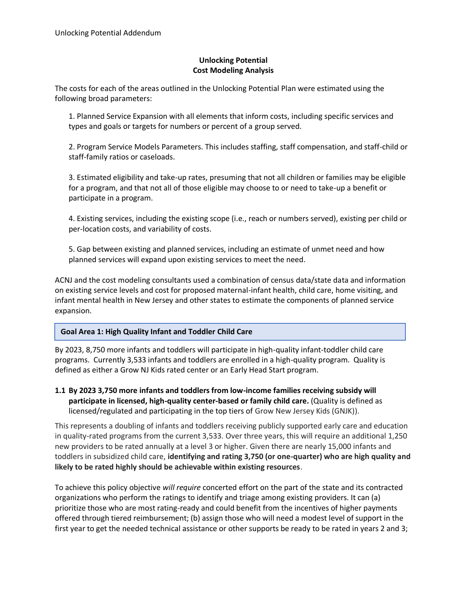## **Unlocking Potential Cost Modeling Analysis**

The costs for each of the areas outlined in the Unlocking Potential Plan were estimated using the following broad parameters:

1. Planned Service Expansion with all elements that inform costs, including specific services and types and goals or targets for numbers or percent of a group served.

2. Program Service Models Parameters. This includes staffing, staff compensation, and staff-child or staff-family ratios or caseloads.

3. Estimated eligibility and take-up rates, presuming that not all children or families may be eligible for a program, and that not all of those eligible may choose to or need to take-up a benefit or participate in a program.

4. Existing services, including the existing scope (i.e., reach or numbers served), existing per child or per-location costs, and variability of costs.

5. Gap between existing and planned services, including an estimate of unmet need and how planned services will expand upon existing services to meet the need.

ACNJ and the cost modeling consultants used a combination of census data/state data and information on existing service levels and cost for proposed maternal-infant health, child care, home visiting, and infant mental health in New Jersey and other states to estimate the components of planned service expansion.

## **Goal Area 1: High Quality Infant and Toddler Child Care**

By 2023, 8,750 more infants and toddlers will participate in high-quality infant-toddler child care programs. Currently 3,533 infants and toddlers are enrolled in a high-quality program. Quality is defined as either a Grow NJ Kids rated center or an Early Head Start program.

**1.1 By 2023 3,750 more infants and toddlers from low-income families receiving subsidy will participate in licensed, high-quality center-based or family child care.** (Quality is defined as licensed/regulated and participating in the top tiers of Grow New Jersey Kids (GNJK)).

This represents a doubling of infants and toddlers receiving publicly supported early care and education in quality-rated programs from the current 3,533. Over three years, this will require an additional 1,250 new providers to be rated annually at a level 3 or higher. Given there are nearly 15,000 infants and toddlers in subsidized child care, **identifying and rating 3,750 (or one-quarter) who are high quality and likely to be rated highly should be achievable within existing resources**.

To achieve this policy objective *will require* concerted effort on the part of the state and its contracted organizations who perform the ratings to identify and triage among existing providers. It can (a) prioritize those who are most rating-ready and could benefit from the incentives of higher payments offered through tiered reimbursement; (b) assign those who will need a modest level of support in the first year to get the needed technical assistance or other supports be ready to be rated in years 2 and 3;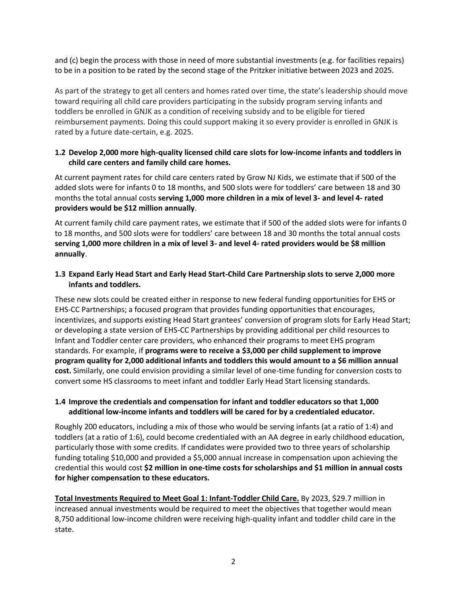and (c) begin the process with those in need of more substantial investments (e.g. for facilities repairs) to be in a position to be rated by the second stage of the Pritzker initiative between 2023 and 2025.

As part of the strategy to get all centers and homes rated over time, the state's leadership should move toward requiring all child care providers participating in the subsidy program serving infants and toddlers be enrolled in GNJK as a condition of receiving subsidy and to be eligible for tiered reimbursement payments. Doing this could support making it so every provider is enrolled in GNJK is rated by a future date-certain, e.g. 2025.

## **1.2 Develop 2,000 more high-quality licensed child care slots for low-income infants and toddlers in child care centers and family child care homes.**

At current payment rates for child care centers rated by Grow NJ Kids, we estimate that if 500 of the added slots were for infants 0 to 18 months, and 500 slots were for toddlers' care between 18 and 30 months the total annual costs **serving 1,000 more children in a mix of level 3- and level 4- rated providers would be \$12 million annually**.

At current family child care payment rates, we estimate that if 500 of the added slots were for infants 0 to 18 months, and 500 slots were for toddlers' care between 18 and 30 months the total annual costs **serving 1,000 more children in a mix of level 3- and level 4- rated providers would be \$8 million annually**.

## **1.3 Expand Early Head Start and Early Head Start-Child Care Partnership slots to serve 2,000 more infants and toddlers.**

These new slots could be created either in response to new federal funding opportunities for EHS or EHS-CC Partnerships; a focused program that provides funding opportunities that encourages, incentivizes, and supports existing Head Start grantees' conversion of program slots for Early Head Start; or developing a state version of EHS-CC Partnerships by providing additional per child resources to Infant and Toddler center care providers, who enhanced their programs to meet EHS program standards. For example, if **programs were to receive a \$3,000 per child supplement to improve program quality for 2,000 additional infants and toddlers this would amount to a \$6 million annual cost.** Similarly, one could envision providing a similar level of one-time funding for conversion costs to convert some HS classrooms to meet infant and toddler Early Head Start licensing standards.

## **1.4 Improve the credentials and compensation for infant and toddler educators so that 1,000 additional low-income infants and toddlers will be cared for by a credentialed educator.**

Roughly 200 educators, including a mix of those who would be serving infants (at a ratio of 1:4) and toddlers (at a ratio of 1:6), could become credentialed with an AA degree in early childhood education, particularly those with some credits. If candidates were provided two to three years of scholarship funding totaling \$10,000 and provided a \$5,000 annual increase in compensation upon achieving the credential this would cost **\$2 million in one-time costs for scholarships and \$1 million in annual costs for higher compensation to these educators.**

**Total Investments Required to Meet Goal 1: Infant-Toddler Child Care.** By 2023, \$29.7 million in increased annual investments would be required to meet the objectives that together would mean 8,750 additional low-income children were receiving high-quality infant and toddler child care in the state.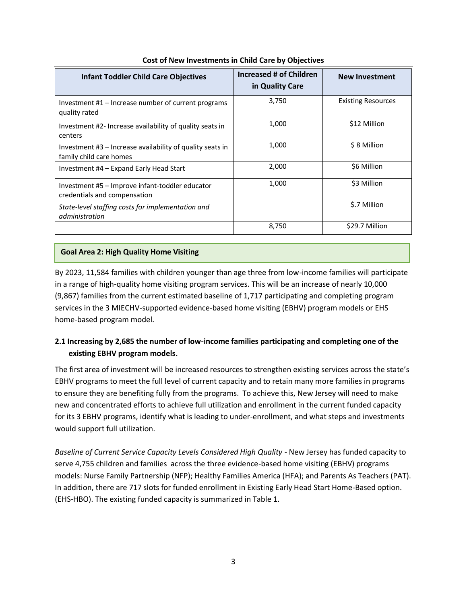| <b>Infant Toddler Child Care Objectives</b>                                            | Increased # of Children<br>in Quality Care | <b>New Investment</b>     |
|----------------------------------------------------------------------------------------|--------------------------------------------|---------------------------|
| Investment $#1$ – Increase number of current programs<br>quality rated                 | 3,750                                      | <b>Existing Resources</b> |
| Investment #2- Increase availability of quality seats in<br>centers                    | 1,000                                      | \$12 Million              |
| Investment $#3$ – Increase availability of quality seats in<br>family child care homes | 1,000                                      | \$8 Million               |
| Investment #4 – Expand Early Head Start                                                | 2,000                                      | \$6 Million               |
| Investment #5 - Improve infant-toddler educator<br>credentials and compensation        | 1,000                                      | \$3 Million               |
| State-level staffing costs for implementation and<br>administration                    |                                            | \$.7 Million              |
|                                                                                        | 8,750                                      | \$29.7 Million            |

#### **Cost of New Investments in Child Care by Objectives**

#### **Goal Area 2: High Quality Home Visiting**

By 2023, 11,584 families with children younger than age three from low-income families will participate in a range of high-quality home visiting program services. This will be an increase of nearly 10,000 (9,867) families from the current estimated baseline of 1,717 participating and completing program services in the 3 MIECHV-supported evidence-based home visiting (EBHV) program models or EHS home-based program model.

# **2.1 Increasing by 2,685 the number of low-income families participating and completing one of the existing EBHV program models.**

The first area of investment will be increased resources to strengthen existing services across the state's EBHV programs to meet the full level of current capacity and to retain many more families in programs to ensure they are benefiting fully from the programs. To achieve this, New Jersey will need to make new and concentrated efforts to achieve full utilization and enrollment in the current funded capacity for its 3 EBHV programs, identify what is leading to under-enrollment, and what steps and investments would support full utilization.

*Baseline of Current Service Capacity Levels Considered High Quality -* New Jersey has funded capacity to serve 4,755 children and families across the three evidence-based home visiting (EBHV) programs models: Nurse Family Partnership (NFP); Healthy Families America (HFA); and Parents As Teachers (PAT). In addition, there are 717 slots for funded enrollment in Existing Early Head Start Home-Based option. (EHS-HBO). The existing funded capacity is summarized in Table 1.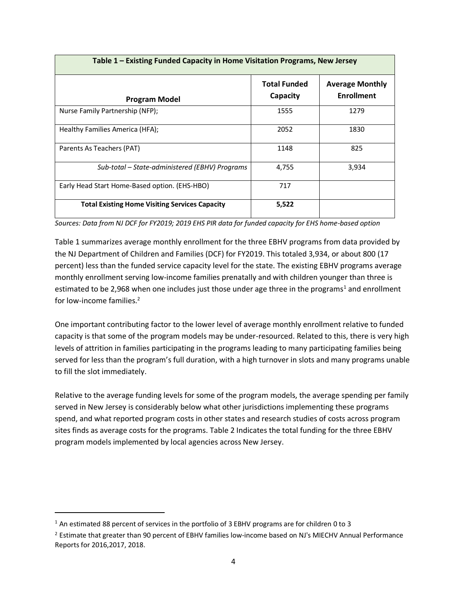| Table 1 - Existing Funded Capacity in Home Visitation Programs, New Jersey |                                 |                                             |  |
|----------------------------------------------------------------------------|---------------------------------|---------------------------------------------|--|
| <b>Program Model</b>                                                       | <b>Total Funded</b><br>Capacity | <b>Average Monthly</b><br><b>Enrollment</b> |  |
| Nurse Family Partnership (NFP);                                            | 1555                            | 1279                                        |  |
| Healthy Families America (HFA);                                            | 2052                            | 1830                                        |  |
| Parents As Teachers (PAT)                                                  | 1148                            | 825                                         |  |
| Sub-total – State-administered (EBHV) Programs                             | 4,755                           | 3,934                                       |  |
| Early Head Start Home-Based option. (EHS-HBO)                              | 717                             |                                             |  |
| <b>Total Existing Home Visiting Services Capacity</b>                      | 5,522                           |                                             |  |

*Sources: Data from NJ DCF for FY2019; 2019 EHS PIR data for funded capacity for EHS home-based option* 

Table 1 summarizes average monthly enrollment for the three EBHV programs from data provided by the NJ Department of Children and Families (DCF) for FY2019. This totaled 3,934, or about 800 (17 percent) less than the funded service capacity level for the state. The existing EBHV programs average monthly enrollment serving low-income families prenatally and with children younger than three is estimated to be 2,968 when one includes just those under age three in the programs<sup>1</sup> and enrollment for low-income families.<sup>2</sup>

One important contributing factor to the lower level of average monthly enrollment relative to funded capacity is that some of the program models may be under-resourced. Related to this, there is very high levels of attrition in families participating in the programs leading to many participating families being served for less than the program's full duration, with a high turnover in slots and many programs unable to fill the slot immediately.

Relative to the average funding levels for some of the program models, the average spending per family served in New Jersey is considerably below what other jurisdictions implementing these programs spend, and what reported program costs in other states and research studies of costs across program sites finds as average costs for the programs. Table 2 Indicates the total funding for the three EBHV program models implemented by local agencies across New Jersey.

<sup>&</sup>lt;sup>1</sup> An estimated 88 percent of services in the portfolio of 3 EBHV programs are for children 0 to 3

<sup>&</sup>lt;sup>2</sup> Estimate that greater than 90 percent of EBHV families low-income based on NJ's MIECHV Annual Performance Reports for 2016,2017, 2018.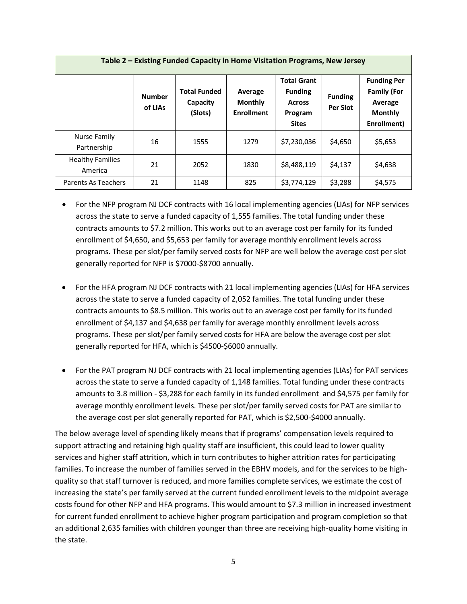| Table 2 – Existing Funded Capacity in Home Visitation Programs, New Jersey |                          |                                            |                                                |                                                                                  |                            |                                                                                      |
|----------------------------------------------------------------------------|--------------------------|--------------------------------------------|------------------------------------------------|----------------------------------------------------------------------------------|----------------------------|--------------------------------------------------------------------------------------|
|                                                                            | <b>Number</b><br>of LIAs | <b>Total Funded</b><br>Capacity<br>(Slots) | Average<br><b>Monthly</b><br><b>Enrollment</b> | <b>Total Grant</b><br><b>Funding</b><br><b>Across</b><br>Program<br><b>Sites</b> | <b>Funding</b><br>Per Slot | <b>Funding Per</b><br><b>Family (For</b><br>Average<br><b>Monthly</b><br>Enrollment) |
| Nurse Family<br>Partnership                                                | 16                       | 1555                                       | 1279                                           | \$7,230,036                                                                      | \$4,650                    | \$5,653                                                                              |
| <b>Healthy Families</b><br>America                                         | 21                       | 2052                                       | 1830                                           | \$8,488,119                                                                      | \$4,137                    | \$4,638                                                                              |
| Parents As Teachers                                                        | 21                       | 1148                                       | 825                                            | \$3,774,129                                                                      | \$3,288                    | \$4,575                                                                              |

- For the NFP program NJ DCF contracts with 16 local implementing agencies (LIAs) for NFP services across the state to serve a funded capacity of 1,555 families. The total funding under these contracts amounts to \$7.2 million. This works out to an average cost per family for its funded enrollment of \$4,650, and \$5,653 per family for average monthly enrollment levels across programs. These per slot/per family served costs for NFP are well below the average cost per slot generally reported for NFP is \$7000-\$8700 annually.
- For the HFA program NJ DCF contracts with 21 local implementing agencies (LIAs) for HFA services across the state to serve a funded capacity of 2,052 families. The total funding under these contracts amounts to \$8.5 million. This works out to an average cost per family for its funded enrollment of \$4,137 and \$4,638 per family for average monthly enrollment levels across programs. These per slot/per family served costs for HFA are below the average cost per slot generally reported for HFA, which is \$4500-\$6000 annually.
- For the PAT program NJ DCF contracts with 21 local implementing agencies (LIAs) for PAT services across the state to serve a funded capacity of 1,148 families. Total funding under these contracts amounts to 3.8 million - \$3,288 for each family in its funded enrollment and \$4,575 per family for average monthly enrollment levels. These per slot/per family served costs for PAT are similar to the average cost per slot generally reported for PAT, which is \$2,500-\$4000 annually.

The below average level of spending likely means that if programs' compensation levels required to support attracting and retaining high quality staff are insufficient, this could lead to lower quality services and higher staff attrition, which in turn contributes to higher attrition rates for participating families. To increase the number of families served in the EBHV models, and for the services to be highquality so that staff turnover is reduced, and more families complete services, we estimate the cost of increasing the state's per family served at the current funded enrollment levels to the midpoint average costs found for other NFP and HFA programs. This would amount to \$7.3 million in increased investment for current funded enrollment to achieve higher program participation and program completion so that an additional 2,635 families with children younger than three are receiving high-quality home visiting in the state.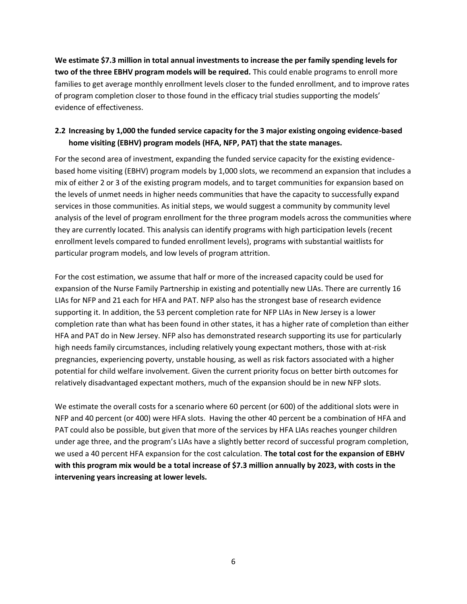**We estimate \$7.3 million in total annual investments to increase the per family spending levels for two of the three EBHV program models will be required.** This could enable programs to enroll more families to get average monthly enrollment levels closer to the funded enrollment, and to improve rates of program completion closer to those found in the efficacy trial studies supporting the models' evidence of effectiveness.

# **2.2 Increasing by 1,000 the funded service capacity for the 3 major existing ongoing evidence-based home visiting (EBHV) program models (HFA, NFP, PAT) that the state manages.**

For the second area of investment, expanding the funded service capacity for the existing evidencebased home visiting (EBHV) program models by 1,000 slots, we recommend an expansion that includes a mix of either 2 or 3 of the existing program models, and to target communities for expansion based on the levels of unmet needs in higher needs communities that have the capacity to successfully expand services in those communities. As initial steps, we would suggest a community by community level analysis of the level of program enrollment for the three program models across the communities where they are currently located. This analysis can identify programs with high participation levels (recent enrollment levels compared to funded enrollment levels), programs with substantial waitlists for particular program models, and low levels of program attrition.

For the cost estimation, we assume that half or more of the increased capacity could be used for expansion of the Nurse Family Partnership in existing and potentially new LIAs. There are currently 16 LIAs for NFP and 21 each for HFA and PAT. NFP also has the strongest base of research evidence supporting it. In addition, the 53 percent completion rate for NFP LIAs in New Jersey is a lower completion rate than what has been found in other states, it has a higher rate of completion than either HFA and PAT do in New Jersey. NFP also has demonstrated research supporting its use for particularly high needs family circumstances, including relatively young expectant mothers, those with at-risk pregnancies, experiencing poverty, unstable housing, as well as risk factors associated with a higher potential for child welfare involvement. Given the current priority focus on better birth outcomes for relatively disadvantaged expectant mothers, much of the expansion should be in new NFP slots.

We estimate the overall costs for a scenario where 60 percent (or 600) of the additional slots were in NFP and 40 percent (or 400) were HFA slots. Having the other 40 percent be a combination of HFA and PAT could also be possible, but given that more of the services by HFA LIAs reaches younger children under age three, and the program's LIAs have a slightly better record of successful program completion, we used a 40 percent HFA expansion for the cost calculation. **The total cost for the expansion of EBHV with this program mix would be a total increase of \$7.3 million annually by 2023, with costs in the intervening years increasing at lower levels.**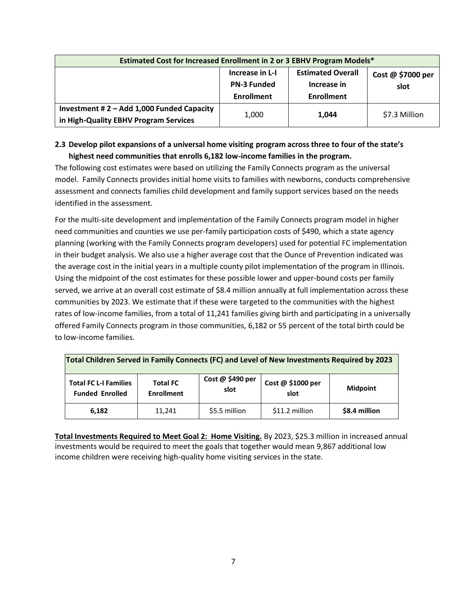| Estimated Cost for Increased Enrollment in 2 or 3 EBHV Program Models*             |                                                            |                                                              |                           |
|------------------------------------------------------------------------------------|------------------------------------------------------------|--------------------------------------------------------------|---------------------------|
|                                                                                    | Increase in L-I<br><b>PN-3 Funded</b><br><b>Enrollment</b> | <b>Estimated Overall</b><br>Increase in<br><b>Enrollment</b> | Cost @ \$7000 per<br>slot |
| Investment #2 - Add 1,000 Funded Capacity<br>in High-Quality EBHV Program Services | 1,000                                                      | 1.044                                                        | \$7.3 Million             |

## **2.3 Develop pilot expansions of a universal home visiting program across three to four of the state's highest need communities that enrolls 6,182 low-income families in the program.**

The following cost estimates were based on utilizing the Family Connects program as the universal model. Family Connects provides initial home visits to families with newborns, conducts comprehensive assessment and connects families child development and family support services based on the needs identified in the assessment.

For the multi-site development and implementation of the Family Connects program model in higher need communities and counties we use per-family participation costs of \$490, which a state agency planning (working with the Family Connects program developers) used for potential FC implementation in their budget analysis. We also use a higher average cost that the Ounce of Prevention indicated was the average cost in the initial years in a multiple county pilot implementation of the program in Illinois. Using the midpoint of the cost estimates for these possible lower and upper-bound costs per family served, we arrive at an overall cost estimate of \$8.4 million annually at full implementation across these communities by 2023. We estimate that if these were targeted to the communities with the highest rates of low-income families, from a total of 11,241 families giving birth and participating in a universally offered Family Connects program in those communities, 6,182 or 55 percent of the total birth could be to low-income families.

| Total Children Served in Family Connects (FC) and Level of New Investments Required by 2023                                                                                |        |               |                |               |
|----------------------------------------------------------------------------------------------------------------------------------------------------------------------------|--------|---------------|----------------|---------------|
| Cost @ \$490 per<br>Cost @ \$1000 per<br><b>Total FC L-I Families</b><br><b>Total FC</b><br><b>Midpoint</b><br>slot<br>slot<br><b>Funded Enrolled</b><br><b>Enrollment</b> |        |               |                |               |
| 6,182                                                                                                                                                                      | 11.241 | \$5.5 million | \$11.2 million | \$8.4 million |

**Total Investments Required to Meet Goal 2: Home Visiting.** By 2023, \$25.3 million in increased annual investments would be required to meet the goals that together would mean 9,867 additional low income children were receiving high-quality home visiting services in the state.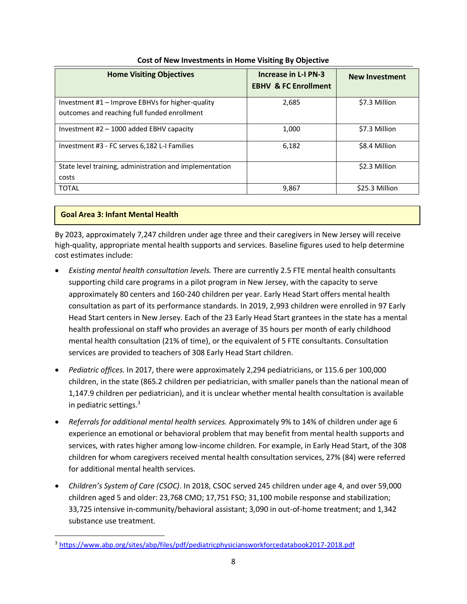| <b>Home Visiting Objectives</b>                                                                  | Increase in L-I PN-3<br><b>EBHV &amp; FC Enrollment</b> | <b>New Investment</b> |
|--------------------------------------------------------------------------------------------------|---------------------------------------------------------|-----------------------|
| Investment #1 – Improve EBHVs for higher-quality<br>outcomes and reaching full funded enrollment | 2,685                                                   | \$7.3 Million         |
| Investment $#2 - 1000$ added EBHV capacity                                                       | 1,000                                                   | \$7.3 Million         |
| Investment #3 - FC serves 6,182 L-I Families                                                     | 6,182                                                   | \$8.4 Million         |
| State level training, administration and implementation<br>costs                                 |                                                         | \$2.3 Million         |
| <b>TOTAL</b>                                                                                     | 9,867                                                   | \$25.3 Million        |

## **Cost of New Investments in Home Visiting By Objective**

## **Goal Area 3: Infant Mental Health**

By 2023, approximately 7,247 children under age three and their caregivers in New Jersey will receive high-quality, appropriate mental health supports and services. Baseline figures used to help determine cost estimates include:

- *Existing mental health consultation levels.* There are currently 2.5 FTE mental health consultants supporting child care programs in a pilot program in New Jersey, with the capacity to serve approximately 80 centers and 160-240 children per year. Early Head Start offers mental health consultation as part of its performance standards. In 2019, 2,993 children were enrolled in 97 Early Head Start centers in New Jersey. Each of the 23 Early Head Start grantees in the state has a mental health professional on staff who provides an average of 35 hours per month of early childhood mental health consultation (21% of time), or the equivalent of 5 FTE consultants. Consultation services are provided to teachers of 308 Early Head Start children.
- *Pediatric offices.* In 2017, there were approximately 2,294 pediatricians, or 115.6 per 100,000 children, in the state (865.2 children per pediatrician, with smaller panels than the national mean of 1,147.9 children per pediatrician), and it is unclear whether mental health consultation is available in pediatric settings. $3$
- *Referrals for additional mental health services.* Approximately 9% to 14% of children under age 6 experience an emotional or behavioral problem that may benefit from mental health supports and services, with rates higher among low-income children. For example, in Early Head Start, of the 308 children for whom caregivers received mental health consultation services, 27% (84) were referred for additional mental health services.
- *Children's System of Care (CSOC)*. In 2018, CSOC served 245 children under age 4, and over 59,000 children aged 5 and older: 23,768 CMO; 17,751 FSO; 31,100 mobile response and stabilization; 33,725 intensive in-community/behavioral assistant; 3,090 in out-of-home treatment; and 1,342 substance use treatment.

<sup>3</sup> <https://www.abp.org/sites/abp/files/pdf/pediatricphysiciansworkforcedatabook2017-2018.pdf>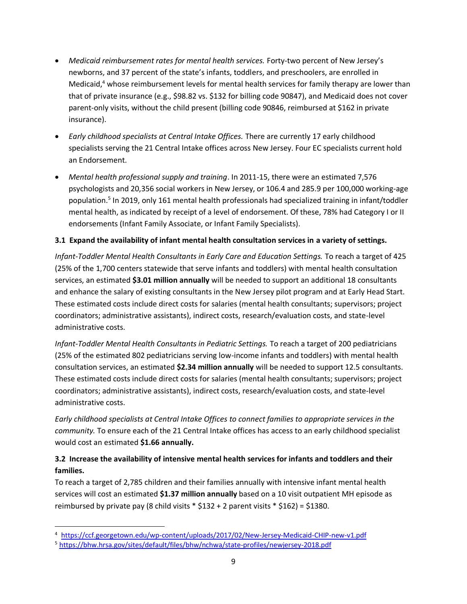- *Medicaid reimbursement rates for mental health services.* Forty-two percent of New Jersey's newborns, and 37 percent of the state's infants, toddlers, and preschoolers, are enrolled in Medicaid, $4$  whose reimbursement levels for mental health services for family therapy are lower than that of private insurance (e.g., \$98.82 vs. \$132 for billing code 90847), and Medicaid does not cover parent-only visits, without the child present (billing code 90846, reimbursed at \$162 in private insurance).
- *Early childhood specialists at Central Intake Offices.* There are currently 17 early childhood specialists serving the 21 Central Intake offices across New Jersey. Four EC specialists current hold an Endorsement.
- *Mental health professional supply and training*. In 2011-15, there were an estimated 7,576 psychologists and 20,356 social workers in New Jersey, or 106.4 and 285.9 per 100,000 working-age population.<sup>5</sup> In 2019, only 161 mental health professionals had specialized training in infant/toddler mental health, as indicated by receipt of a level of endorsement. Of these, 78% had Category I or II endorsements (Infant Family Associate, or Infant Family Specialists).

## **3.1 Expand the availability of infant mental health consultation services in a variety of settings.**

*Infant-Toddler Mental Health Consultants in Early Care and Education Settings.* To reach a target of 425 (25% of the 1,700 centers statewide that serve infants and toddlers) with mental health consultation services, an estimated **\$3.01 million annually** will be needed to support an additional 18 consultants and enhance the salary of existing consultants in the New Jersey pilot program and at Early Head Start. These estimated costs include direct costs for salaries (mental health consultants; supervisors; project coordinators; administrative assistants), indirect costs, research/evaluation costs, and state-level administrative costs.

*Infant-Toddler Mental Health Consultants in Pediatric Settings.* To reach a target of 200 pediatricians (25% of the estimated 802 pediatricians serving low-income infants and toddlers) with mental health consultation services, an estimated **\$2.34 million annually** will be needed to support 12.5 consultants. These estimated costs include direct costs for salaries (mental health consultants; supervisors; project coordinators; administrative assistants), indirect costs, research/evaluation costs, and state-level administrative costs.

*Early childhood specialists at Central Intake Offices to connect families to appropriate services in the community.* To ensure each of the 21 Central Intake offices has access to an early childhood specialist would cost an estimated **\$1.66 annually.**

# **3.2 Increase the availability of intensive mental health services for infants and toddlers and their families.**

To reach a target of 2,785 children and their families annually with intensive infant mental health services will cost an estimated **\$1.37 million annually** based on a 10 visit outpatient MH episode as reimbursed by private pay (8 child visits  $*$  \$132 + 2 parent visits  $*$  \$162) = \$1380.

<sup>4</sup> <https://ccf.georgetown.edu/wp-content/uploads/2017/02/New-Jersey-Medicaid-CHIP-new-v1.pdf>

<sup>5</sup> <https://bhw.hrsa.gov/sites/default/files/bhw/nchwa/state-profiles/newjersey-2018.pdf>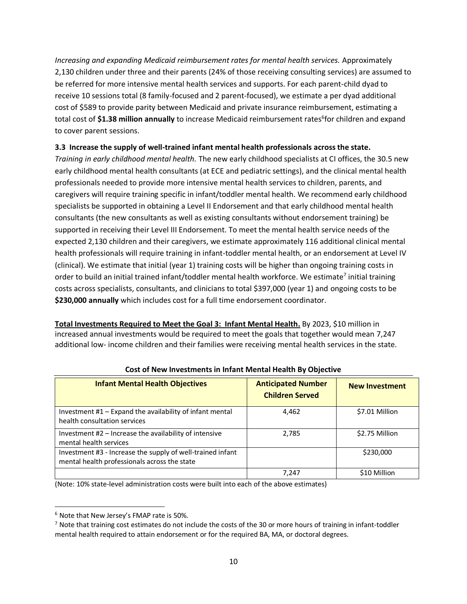*Increasing and expanding Medicaid reimbursement rates for mental health services.* Approximately 2,130 children under three and their parents (24% of those receiving consulting services) are assumed to be referred for more intensive mental health services and supports. For each parent-child dyad to receive 10 sessions total (8 family-focused and 2 parent-focused), we estimate a per dyad additional cost of \$589 to provide parity between Medicaid and private insurance reimbursement, estimating a total cost of \$1.38 million annually to increase Medicaid reimbursement rates<sup>6</sup>for children and expand to cover parent sessions.

#### **3.3 Increase the supply of well-trained infant mental health professionals across the state.**

*Training in early childhood mental health.* The new early childhood specialists at CI offices, the 30.5 new early childhood mental health consultants (at ECE and pediatric settings), and the clinical mental health professionals needed to provide more intensive mental health services to children, parents, and caregivers will require training specific in infant/toddler mental health. We recommend early childhood specialists be supported in obtaining a Level II Endorsement and that early childhood mental health consultants (the new consultants as well as existing consultants without endorsement training) be supported in receiving their Level III Endorsement. To meet the mental health service needs of the expected 2,130 children and their caregivers, we estimate approximately 116 additional clinical mental health professionals will require training in infant-toddler mental health, or an endorsement at Level IV (clinical). We estimate that initial (year 1) training costs will be higher than ongoing training costs in order to build an initial trained infant/toddler mental health workforce. We estimate<sup>7</sup> initial training costs across specialists, consultants, and clinicians to total \$397,000 (year 1) and ongoing costs to be **\$230,000 annually** which includes cost for a full time endorsement coordinator.

**Total Investments Required to Meet the Goal 3: Infant Mental Health.** By 2023, \$10 million in increased annual investments would be required to meet the goals that together would mean 7,247 additional low- income children and their families were receiving mental health services in the state.

| <b>Infant Mental Health Objectives</b>                                                                     | <b>Anticipated Number</b><br><b>Children Served</b> | <b>New Investment</b> |
|------------------------------------------------------------------------------------------------------------|-----------------------------------------------------|-----------------------|
| Investment #1 - Expand the availability of infant mental<br>health consultation services                   | 4,462                                               | \$7.01 Million        |
| Investment $#2$ – Increase the availability of intensive<br>mental health services                         | 2.785                                               | \$2.75 Million        |
| Investment #3 - Increase the supply of well-trained infant<br>mental health professionals across the state |                                                     | \$230,000             |
|                                                                                                            | 7.247                                               | \$10 Million          |

**Cost of New Investments in Infant Mental Health By Objective**

(Note: 10% state-level administration costs were built into each of the above estimates)

<sup>6</sup> Note that New Jersey's FMAP rate is 50%.

 $7$  Note that training cost estimates do not include the costs of the 30 or more hours of training in infant-toddler mental health required to attain endorsement or for the required BA, MA, or doctoral degrees.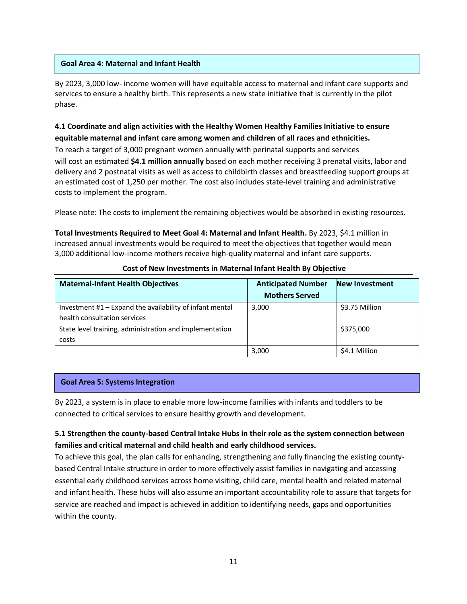#### **Goal Area 4: Maternal and Infant Health**

By 2023, 3,000 low- income women will have equitable access to maternal and infant care supports and services to ensure a healthy birth. This represents a new state initiative that is currently in the pilot phase.

# **4.1 Coordinate and align activities with the Healthy Women Healthy Families Initiative to ensure equitable maternal and infant care among women and children of all races and ethnicities.**

To reach a target of 3,000 pregnant women annually with perinatal supports and services will cost an estimated **\$4.1 million annually** based on each mother receiving 3 prenatal visits, labor and delivery and 2 postnatal visits as well as access to childbirth classes and breastfeeding support groups at an estimated cost of 1,250 per mother. The cost also includes state-level training and administrative costs to implement the program.

Please note: The costs to implement the remaining objectives would be absorbed in existing resources.

**Total Investments Required to Meet Goal 4: Maternal and Infant Health.** By 2023, \$4.1 million in increased annual investments would be required to meet the objectives that together would mean 3,000 additional low-income mothers receive high-quality maternal and infant care supports.

| <b>Maternal-Infant Health Objectives</b>                                                 | <b>Anticipated Number</b><br><b>Mothers Served</b> | <b>New Investment</b> |
|------------------------------------------------------------------------------------------|----------------------------------------------------|-----------------------|
| Investment #1 - Expand the availability of infant mental<br>health consultation services | 3,000                                              | \$3.75 Million        |
| State level training, administration and implementation<br>costs                         |                                                    | \$375,000             |
|                                                                                          | 3,000                                              | \$4.1 Million         |

#### **Cost of New Investments in Maternal Infant Health By Objective**

#### **Goal Area 5: Systems Integration**

By 2023, a system is in place to enable more low-income families with infants and toddlers to be connected to critical services to ensure healthy growth and development.

## **5.1 Strengthen the county-based Central Intake Hubs in their role as the system connection between families and critical maternal and child health and early childhood services.**

To achieve this goal, the plan calls for enhancing, strengthening and fully financing the existing countybased Central Intake structure in order to more effectively assist families in navigating and accessing essential early childhood services across home visiting, child care, mental health and related maternal and infant health. These hubs will also assume an important accountability role to assure that targets for service are reached and impact is achieved in addition to identifying needs, gaps and opportunities within the county.